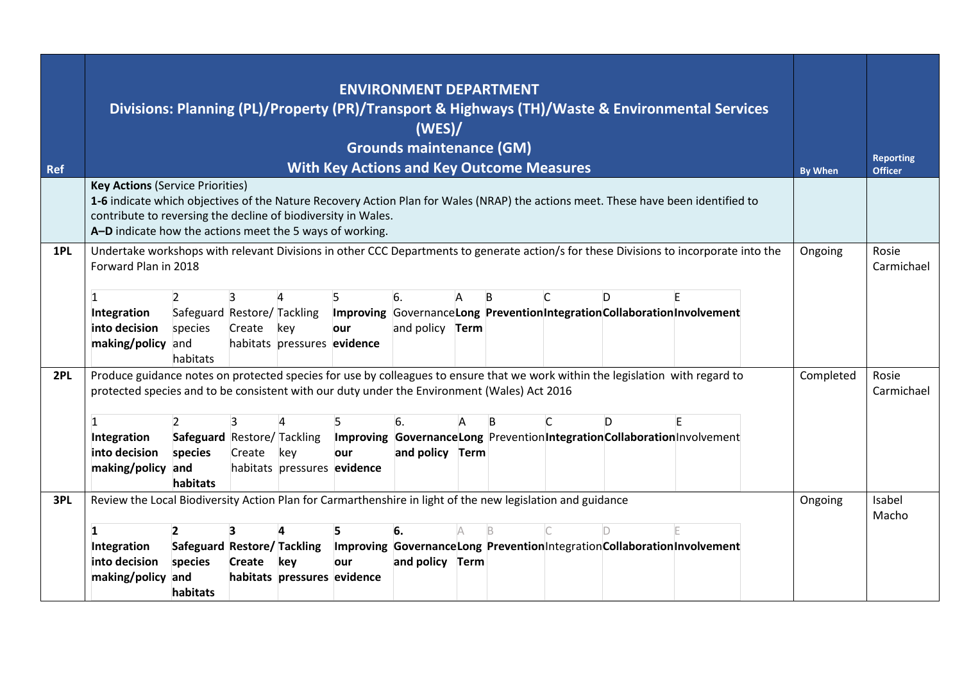| <b>Ref</b> |                                                                                                                                                                                                                                                                                                                                                                                                                                                                                                                                                      |                                                                                                                                                                                                                                                                                                                                                                                      |  |  |  | <b>ENVIRONMENT DEPARTMENT</b><br>(WES)<br><b>Grounds maintenance (GM)</b><br><b>With Key Actions and Key Outcome Measures</b> |  |  |  |  | Divisions: Planning (PL)/Property (PR)/Transport & Highways (TH)/Waste & Environmental Services |  | <b>By When</b> | <b>Reporting</b><br><b>Officer</b> |
|------------|------------------------------------------------------------------------------------------------------------------------------------------------------------------------------------------------------------------------------------------------------------------------------------------------------------------------------------------------------------------------------------------------------------------------------------------------------------------------------------------------------------------------------------------------------|--------------------------------------------------------------------------------------------------------------------------------------------------------------------------------------------------------------------------------------------------------------------------------------------------------------------------------------------------------------------------------------|--|--|--|-------------------------------------------------------------------------------------------------------------------------------|--|--|--|--|-------------------------------------------------------------------------------------------------|--|----------------|------------------------------------|
|            |                                                                                                                                                                                                                                                                                                                                                                                                                                                                                                                                                      | <b>Key Actions (Service Priorities)</b><br>1-6 indicate which objectives of the Nature Recovery Action Plan for Wales (NRAP) the actions meet. These have been identified to<br>contribute to reversing the decline of biodiversity in Wales.<br>A-D indicate how the actions meet the 5 ways of working.                                                                            |  |  |  |                                                                                                                               |  |  |  |  |                                                                                                 |  |                |                                    |
| 1PL        | Undertake workshops with relevant Divisions in other CCC Departments to generate action/s for these Divisions to incorporate into the<br>Forward Plan in 2018<br>5<br>6.<br>$\mathsf{C}$<br>$\overline{2}$<br>3<br>4<br>B<br>$\mathbf{1}$<br>A<br>D<br>Safeguard Restore/ Tackling<br>Improving GovernanceLong PreventionIntegrationCollaborationInvolvement<br>Integration<br>and policy <b>Term</b><br>into decision<br>species<br>Create<br>key<br>our<br>making/policy and<br>habitats pressures evidence<br>habitats                            |                                                                                                                                                                                                                                                                                                                                                                                      |  |  |  |                                                                                                                               |  |  |  |  |                                                                                                 |  | Ongoing        | Rosie<br>Carmichael                |
| 2PL        | Produce guidance notes on protected species for use by colleagues to ensure that we work within the legislation with regard to<br>protected species and to be consistent with our duty under the Environment (Wales) Act 2016<br>$\overline{2}$<br>6.<br>3<br>$\mathsf{C}$<br>D<br>B<br>$\mathbf{1}$<br>Safeguard Restore/ Tackling Improving GovernanceLong PreventionIntegrationCollaborationInvolvement<br>Integration<br>into decision<br>species<br>Create<br>and policy Term<br>key<br>our<br>making/policy and<br>habitats pressures evidence |                                                                                                                                                                                                                                                                                                                                                                                      |  |  |  |                                                                                                                               |  |  |  |  |                                                                                                 |  | Completed      | Rosie<br>Carmichael                |
| 3PL        | 1<br>Integration<br>into decision                                                                                                                                                                                                                                                                                                                                                                                                                                                                                                                    | habitats<br>Review the Local Biodiversity Action Plan for Carmarthenshire in light of the new legislation and guidance<br>$\overline{2}$<br>5<br>6.<br>Safeguard Restore/Tackling<br>Improving GovernanceLong Prevention Integration Collaboration Involvement<br>species<br>Create<br>key<br>and policy Term<br>our<br>making/policy and<br>habitats pressures evidence<br>habitats |  |  |  |                                                                                                                               |  |  |  |  |                                                                                                 |  |                |                                    |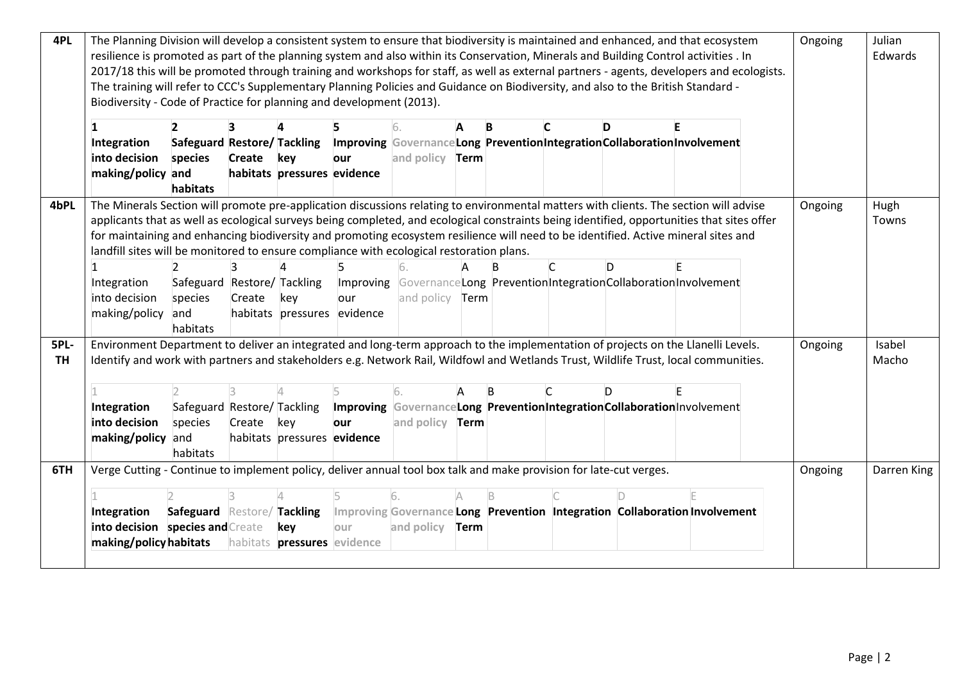| 4PL       | The Planning Division will develop a consistent system to ensure that biodiversity is maintained and enhanced, and that ecosystem<br>resilience is promoted as part of the planning system and also within its Conservation, Minerals and Building Control activities . In |                             |            |                                    |                             |                        |      |   |   |                                                                            |  |  | Ongoing | Julian      |
|-----------|----------------------------------------------------------------------------------------------------------------------------------------------------------------------------------------------------------------------------------------------------------------------------|-----------------------------|------------|------------------------------------|-----------------------------|------------------------|------|---|---|----------------------------------------------------------------------------|--|--|---------|-------------|
|           |                                                                                                                                                                                                                                                                            |                             |            |                                    |                             | Edwards                |      |   |   |                                                                            |  |  |         |             |
|           | 2017/18 this will be promoted through training and workshops for staff, as well as external partners - agents, developers and ecologists.                                                                                                                                  |                             |            |                                    |                             |                        |      |   |   |                                                                            |  |  |         |             |
|           | The training will refer to CCC's Supplementary Planning Policies and Guidance on Biodiversity, and also to the British Standard -                                                                                                                                          |                             |            |                                    |                             |                        |      |   |   |                                                                            |  |  |         |             |
|           | Biodiversity - Code of Practice for planning and development (2013).                                                                                                                                                                                                       |                             |            |                                    |                             |                        |      |   |   |                                                                            |  |  |         |             |
|           | 1                                                                                                                                                                                                                                                                          |                             |            |                                    |                             |                        |      | B |   | D                                                                          |  |  |         |             |
|           | Integration                                                                                                                                                                                                                                                                | Safeguard Restore/ Tackling |            |                                    |                             |                        |      |   |   | Improving Governance Long Prevention Integration Collaboration Involvement |  |  |         |             |
|           | into decision                                                                                                                                                                                                                                                              | species                     | Create key |                                    | our                         | and policy <b>Term</b> |      |   |   |                                                                            |  |  |         |             |
|           | making/policy and                                                                                                                                                                                                                                                          |                             |            | habitats pressures evidence        |                             |                        |      |   |   |                                                                            |  |  |         |             |
|           |                                                                                                                                                                                                                                                                            | habitats                    |            |                                    |                             |                        |      |   |   |                                                                            |  |  |         |             |
| 4bPL      | The Minerals Section will promote pre-application discussions relating to environmental matters with clients. The section will advise                                                                                                                                      |                             |            |                                    |                             |                        |      |   |   |                                                                            |  |  | Ongoing | Hugh        |
|           | applicants that as well as ecological surveys being completed, and ecological constraints being identified, opportunities that sites offer                                                                                                                                 |                             |            |                                    |                             |                        |      |   |   |                                                                            |  |  |         | Towns       |
|           | for maintaining and enhancing biodiversity and promoting ecosystem resilience will need to be identified. Active mineral sites and                                                                                                                                         |                             |            |                                    |                             |                        |      |   |   |                                                                            |  |  |         |             |
|           | landfill sites will be monitored to ensure compliance with ecological restoration plans.                                                                                                                                                                                   |                             |            |                                    |                             |                        |      |   |   |                                                                            |  |  |         |             |
|           |                                                                                                                                                                                                                                                                            | $\mathcal{P}$               |            |                                    |                             |                        |      |   | C | D                                                                          |  |  |         |             |
|           | Integration                                                                                                                                                                                                                                                                | Safeguard Restore/ Tackling |            |                                    |                             |                        |      |   |   | Improving Governance Long Prevention Integration Collaboration Involvement |  |  |         |             |
|           | into decision                                                                                                                                                                                                                                                              | species                     | Create     | key                                | our                         | and policy <b>Term</b> |      |   |   |                                                                            |  |  |         |             |
|           | making/policy                                                                                                                                                                                                                                                              | and                         |            |                                    | habitats pressures evidence |                        |      |   |   |                                                                            |  |  |         |             |
|           |                                                                                                                                                                                                                                                                            | habitats                    |            |                                    |                             |                        |      |   |   |                                                                            |  |  |         |             |
| 5PL-      | Environment Department to deliver an integrated and long-term approach to the implementation of projects on the Llanelli Levels.                                                                                                                                           |                             |            |                                    |                             |                        |      |   |   |                                                                            |  |  | Ongoing | Isabel      |
| <b>TH</b> | Identify and work with partners and stakeholders e.g. Network Rail, Wildfowl and Wetlands Trust, Wildlife Trust, local communities.                                                                                                                                        |                             |            |                                    |                             |                        |      |   |   |                                                                            |  |  |         | Macho       |
|           |                                                                                                                                                                                                                                                                            |                             |            |                                    |                             |                        |      |   |   |                                                                            |  |  |         |             |
|           |                                                                                                                                                                                                                                                                            |                             |            |                                    |                             |                        |      |   |   |                                                                            |  |  |         |             |
|           | Integration                                                                                                                                                                                                                                                                | Safeguard Restore/ Tackling |            |                                    |                             |                        |      |   |   | Improving Governance Long Prevention Integration Collaboration Involvement |  |  |         |             |
|           | into decision                                                                                                                                                                                                                                                              | species                     | Create     | key                                | our                         | and policy             | Term |   |   |                                                                            |  |  |         |             |
|           | making/policy and                                                                                                                                                                                                                                                          |                             |            | habitats pressures evidence        |                             |                        |      |   |   |                                                                            |  |  |         |             |
|           |                                                                                                                                                                                                                                                                            | habitats                    |            |                                    |                             |                        |      |   |   |                                                                            |  |  |         |             |
| 6TH       | Verge Cutting - Continue to implement policy, deliver annual tool box talk and make provision for late-cut verges.                                                                                                                                                         |                             |            |                                    |                             |                        |      |   |   |                                                                            |  |  | Ongoing | Darren King |
|           |                                                                                                                                                                                                                                                                            |                             |            |                                    |                             |                        |      |   |   |                                                                            |  |  |         |             |
|           | Integration                                                                                                                                                                                                                                                                | Safeguard Restore/ Tackling |            |                                    |                             |                        |      |   |   | Improving Governance Long Prevention Integration Collaboration Involvement |  |  |         |             |
|           | into decision species and Create                                                                                                                                                                                                                                           |                             |            | key                                | lour                        | and policy             | Term |   |   |                                                                            |  |  |         |             |
|           | making/policy habitats                                                                                                                                                                                                                                                     |                             |            | habitats <b>pressures</b> evidence |                             |                        |      |   |   |                                                                            |  |  |         |             |
|           |                                                                                                                                                                                                                                                                            |                             |            |                                    |                             |                        |      |   |   |                                                                            |  |  |         |             |
|           |                                                                                                                                                                                                                                                                            |                             |            |                                    |                             |                        |      |   |   |                                                                            |  |  |         |             |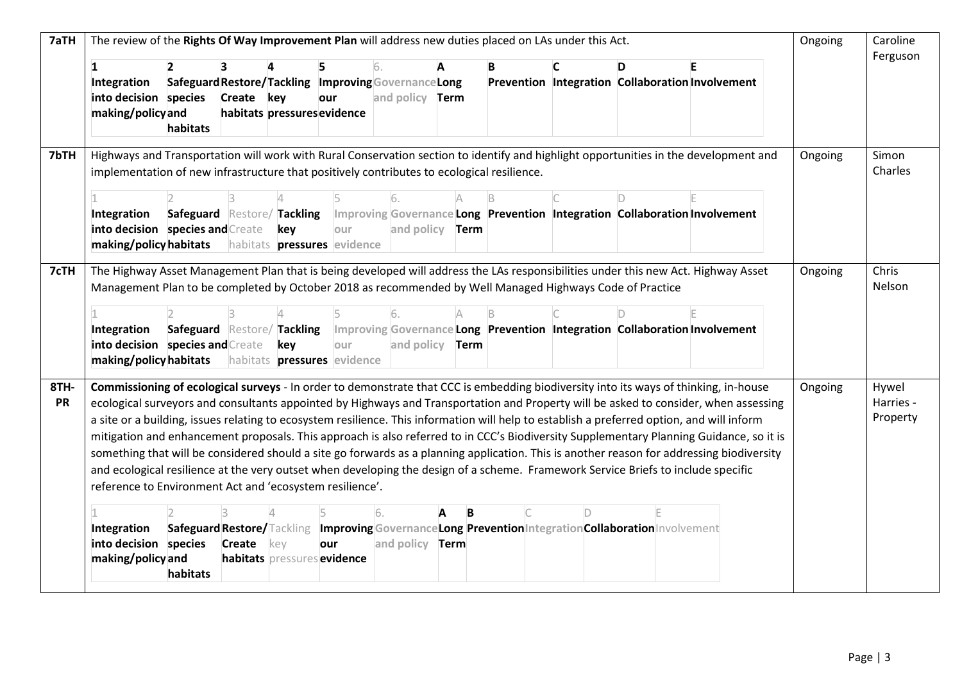| 7aTH              | The review of the Rights Of Way Improvement Plan will address new duties placed on LAs under this Act.   |                             |            |                             |                                    |                                                      |             |   |  |                                                                                                                                   |                                                                                                                                                                                                                                                                                                                                                                                                                                                                                                                                                                                                                                                                                                                    |         | Caroline                       |
|-------------------|----------------------------------------------------------------------------------------------------------|-----------------------------|------------|-----------------------------|------------------------------------|------------------------------------------------------|-------------|---|--|-----------------------------------------------------------------------------------------------------------------------------------|--------------------------------------------------------------------------------------------------------------------------------------------------------------------------------------------------------------------------------------------------------------------------------------------------------------------------------------------------------------------------------------------------------------------------------------------------------------------------------------------------------------------------------------------------------------------------------------------------------------------------------------------------------------------------------------------------------------------|---------|--------------------------------|
|                   | 1                                                                                                        |                             | 3          |                             |                                    | 6.                                                   | A           | B |  | D                                                                                                                                 |                                                                                                                                                                                                                                                                                                                                                                                                                                                                                                                                                                                                                                                                                                                    |         | Ferguson                       |
|                   | Integration                                                                                              |                             |            |                             |                                    | Safeguard Restore/Tackling Improving Governance Long |             |   |  |                                                                                                                                   | Prevention Integration Collaboration Involvement                                                                                                                                                                                                                                                                                                                                                                                                                                                                                                                                                                                                                                                                   |         |                                |
|                   | into decision species                                                                                    |                             | Create key |                             | our                                | and policy <b>Term</b>                               |             |   |  |                                                                                                                                   |                                                                                                                                                                                                                                                                                                                                                                                                                                                                                                                                                                                                                                                                                                                    |         |                                |
|                   | making/policyand                                                                                         | habitats                    |            | habitats pressures evidence |                                    |                                                      |             |   |  |                                                                                                                                   |                                                                                                                                                                                                                                                                                                                                                                                                                                                                                                                                                                                                                                                                                                                    |         |                                |
| 7bTH              |                                                                                                          |                             |            |                             |                                    |                                                      |             |   |  |                                                                                                                                   | Highways and Transportation will work with Rural Conservation section to identify and highlight opportunities in the development and                                                                                                                                                                                                                                                                                                                                                                                                                                                                                                                                                                               | Ongoing | Simon                          |
|                   | implementation of new infrastructure that positively contributes to ecological resilience.               |                             |            |                             |                                    |                                                      |             |   |  |                                                                                                                                   |                                                                                                                                                                                                                                                                                                                                                                                                                                                                                                                                                                                                                                                                                                                    |         | Charles                        |
|                   |                                                                                                          |                             |            |                             |                                    |                                                      |             |   |  |                                                                                                                                   |                                                                                                                                                                                                                                                                                                                                                                                                                                                                                                                                                                                                                                                                                                                    |         |                                |
|                   | Integration                                                                                              | Safeguard Restore/ Tackling |            |                             |                                    |                                                      |             |   |  |                                                                                                                                   | Improving Governance Long Prevention Integration Collaboration Involvement                                                                                                                                                                                                                                                                                                                                                                                                                                                                                                                                                                                                                                         |         |                                |
|                   | into decision species and Create                                                                         |                             |            | key                         | our                                | and policy                                           | Term        |   |  |                                                                                                                                   |                                                                                                                                                                                                                                                                                                                                                                                                                                                                                                                                                                                                                                                                                                                    |         |                                |
|                   | making/policy habitats                                                                                   |                             |            |                             | habitats <b>pressures</b> evidence |                                                      |             |   |  |                                                                                                                                   |                                                                                                                                                                                                                                                                                                                                                                                                                                                                                                                                                                                                                                                                                                                    |         |                                |
| 7cTH              | Management Plan to be completed by October 2018 as recommended by Well Managed Highways Code of Practice |                             |            |                             |                                    |                                                      |             |   |  |                                                                                                                                   | The Highway Asset Management Plan that is being developed will address the LAs responsibilities under this new Act. Highway Asset                                                                                                                                                                                                                                                                                                                                                                                                                                                                                                                                                                                  | Ongoing | Chris<br>Nelson                |
|                   |                                                                                                          |                             |            |                             |                                    |                                                      |             |   |  |                                                                                                                                   |                                                                                                                                                                                                                                                                                                                                                                                                                                                                                                                                                                                                                                                                                                                    |         |                                |
|                   | Integration                                                                                              | Safeguard Restore/ Tackling |            |                             |                                    |                                                      |             |   |  |                                                                                                                                   | Improving Governance Long Prevention Integration Collaboration Involvement                                                                                                                                                                                                                                                                                                                                                                                                                                                                                                                                                                                                                                         |         |                                |
|                   | into decision species and Create                                                                         |                             |            | key                         | our                                | and policy                                           | <b>Term</b> |   |  |                                                                                                                                   |                                                                                                                                                                                                                                                                                                                                                                                                                                                                                                                                                                                                                                                                                                                    |         |                                |
|                   | making/policy habitats                                                                                   |                             |            |                             | habitats <b>pressures</b> evidence |                                                      |             |   |  |                                                                                                                                   |                                                                                                                                                                                                                                                                                                                                                                                                                                                                                                                                                                                                                                                                                                                    |         |                                |
| 8TH-<br><b>PR</b> | reference to Environment Act and 'ecosystem resilience'.                                                 |                             |            |                             |                                    |                                                      |             |   |  | and ecological resilience at the very outset when developing the design of a scheme. Framework Service Briefs to include specific | Commissioning of ecological surveys - In order to demonstrate that CCC is embedding biodiversity into its ways of thinking, in-house<br>ecological surveyors and consultants appointed by Highways and Transportation and Property will be asked to consider, when assessing<br>a site or a building, issues relating to ecosystem resilience. This information will help to establish a preferred option, and will inform<br>mitigation and enhancement proposals. This approach is also referred to in CCC's Biodiversity Supplementary Planning Guidance, so it is<br>something that will be considered should a site go forwards as a planning application. This is another reason for addressing biodiversity | Ongoing | Hywel<br>Harries -<br>Property |
|                   |                                                                                                          |                             |            |                             |                                    | 16.                                                  | A           |   |  |                                                                                                                                   |                                                                                                                                                                                                                                                                                                                                                                                                                                                                                                                                                                                                                                                                                                                    |         |                                |
|                   | Integration                                                                                              |                             |            |                             |                                    |                                                      |             |   |  | Safeguard Restore/Tackling  Improving Governance Long Prevention Integration Collaboration Involvement                            |                                                                                                                                                                                                                                                                                                                                                                                                                                                                                                                                                                                                                                                                                                                    |         |                                |
|                   | into decision species                                                                                    |                             | Create     | key                         | our                                | and policy <b>Term</b>                               |             |   |  |                                                                                                                                   |                                                                                                                                                                                                                                                                                                                                                                                                                                                                                                                                                                                                                                                                                                                    |         |                                |
|                   | making/policy and                                                                                        | habitats                    |            |                             | habitats pressures evidence        |                                                      |             |   |  |                                                                                                                                   |                                                                                                                                                                                                                                                                                                                                                                                                                                                                                                                                                                                                                                                                                                                    |         |                                |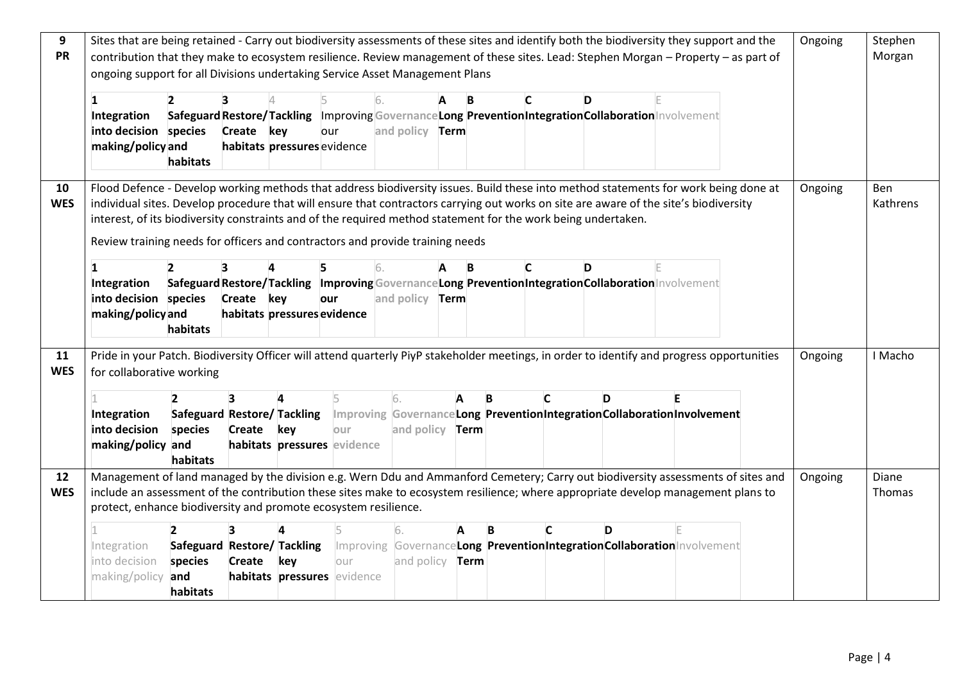| 9          | Sites that are being retained - Carry out biodiversity assessments of these sites and identify both the biodiversity they support and the  |                             |                             |     |                             |                        |                        |   |   |              |                                                                                                       |                                                                                                   | Ongoing | Stephen    |
|------------|--------------------------------------------------------------------------------------------------------------------------------------------|-----------------------------|-----------------------------|-----|-----------------------------|------------------------|------------------------|---|---|--------------|-------------------------------------------------------------------------------------------------------|---------------------------------------------------------------------------------------------------|---------|------------|
| <b>PR</b>  | contribution that they make to ecosystem resilience. Review management of these sites. Lead: Stephen Morgan - Property - as part of        |                             |                             |     |                             |                        |                        |   |   |              |                                                                                                       |                                                                                                   |         | Morgan     |
|            | ongoing support for all Divisions undertaking Service Asset Management Plans                                                               |                             |                             |     |                             |                        |                        |   |   |              |                                                                                                       |                                                                                                   |         |            |
|            |                                                                                                                                            |                             |                             |     |                             |                        |                        |   |   |              |                                                                                                       |                                                                                                   |         |            |
|            | 1                                                                                                                                          |                             |                             |     |                             | 16.                    | A                      | B | C |              | D                                                                                                     |                                                                                                   |         |            |
|            | Integration                                                                                                                                |                             |                             |     |                             |                        |                        |   |   |              | Safeguard Restore/Tackling Improving Governance Long Prevention Integration Collaboration Involvement |                                                                                                   |         |            |
|            | into decision species                                                                                                                      |                             | Create key                  |     | our                         | and policy <b>Term</b> |                        |   |   |              |                                                                                                       |                                                                                                   |         |            |
|            | making/policy and                                                                                                                          |                             | habitats pressures evidence |     |                             |                        |                        |   |   |              |                                                                                                       |                                                                                                   |         |            |
|            |                                                                                                                                            | habitats                    |                             |     |                             |                        |                        |   |   |              |                                                                                                       |                                                                                                   |         |            |
|            |                                                                                                                                            |                             |                             |     |                             |                        |                        |   |   |              |                                                                                                       |                                                                                                   |         |            |
| 10         | Flood Defence - Develop working methods that address biodiversity issues. Build these into method statements for work being done at        |                             |                             |     |                             |                        |                        |   |   |              |                                                                                                       |                                                                                                   | Ongoing | <b>Ben</b> |
| <b>WES</b> | individual sites. Develop procedure that will ensure that contractors carrying out works on site are aware of the site's biodiversity      |                             |                             |     |                             |                        |                        |   |   |              |                                                                                                       |                                                                                                   |         | Kathrens   |
|            | interest, of its biodiversity constraints and of the required method statement for the work being undertaken.                              |                             |                             |     |                             |                        |                        |   |   |              |                                                                                                       |                                                                                                   |         |            |
|            | Review training needs for officers and contractors and provide training needs                                                              |                             |                             |     |                             |                        |                        |   |   |              |                                                                                                       |                                                                                                   |         |            |
|            |                                                                                                                                            |                             |                             |     |                             |                        |                        |   |   |              |                                                                                                       |                                                                                                   |         |            |
|            | $\mathbf{1}$                                                                                                                               |                             | 3                           |     |                             |                        |                        | B | C |              | D                                                                                                     |                                                                                                   |         |            |
|            | Integration                                                                                                                                |                             |                             |     |                             |                        |                        |   |   |              | Safeguard Restore/Tackling Improving Governance Long Prevention Integration Collaboration Involvement |                                                                                                   |         |            |
|            | into decision species                                                                                                                      |                             | Create key                  |     | our                         | and policy <b>Term</b> |                        |   |   |              |                                                                                                       |                                                                                                   |         |            |
|            | making/policy and                                                                                                                          |                             | habitats pressures evidence |     |                             |                        |                        |   |   |              |                                                                                                       |                                                                                                   |         |            |
|            |                                                                                                                                            | habitats                    |                             |     |                             |                        |                        |   |   |              |                                                                                                       |                                                                                                   |         |            |
| 11         | Pride in your Patch. Biodiversity Officer will attend quarterly PiyP stakeholder meetings, in order to identify and progress opportunities |                             |                             |     |                             |                        |                        |   |   |              |                                                                                                       |                                                                                                   |         | I Macho    |
| <b>WES</b> |                                                                                                                                            |                             |                             |     |                             |                        |                        |   |   |              |                                                                                                       |                                                                                                   | Ongoing |            |
|            | for collaborative working                                                                                                                  |                             |                             |     |                             |                        |                        |   |   |              |                                                                                                       |                                                                                                   |         |            |
|            |                                                                                                                                            |                             |                             |     |                             | 6.                     |                        |   | B |              | D                                                                                                     |                                                                                                   |         |            |
|            | Integration                                                                                                                                |                             |                             |     |                             |                        |                        |   |   |              |                                                                                                       | Safeguard Restore/Tackling Improving GovernanceLong PreventionIntegrationCollaborationInvolvement |         |            |
|            | into decision                                                                                                                              | species                     | Create                      | key | our                         |                        | and policy <b>Term</b> |   |   |              |                                                                                                       |                                                                                                   |         |            |
|            | making/policy and                                                                                                                          |                             |                             |     | habitats pressures evidence |                        |                        |   |   |              |                                                                                                       |                                                                                                   |         |            |
|            |                                                                                                                                            | habitats                    |                             |     |                             |                        |                        |   |   |              |                                                                                                       |                                                                                                   |         |            |
| 12         | Management of land managed by the division e.g. Wern Ddu and Ammanford Cemetery; Carry out biodiversity assessments of sites and           |                             |                             |     |                             |                        |                        |   |   |              |                                                                                                       |                                                                                                   | Ongoing | Diane      |
| <b>WES</b> | include an assessment of the contribution these sites make to ecosystem resilience; where appropriate develop management plans to          |                             |                             |     |                             |                        |                        |   |   |              |                                                                                                       |                                                                                                   |         | Thomas     |
|            | protect, enhance biodiversity and promote ecosystem resilience.                                                                            |                             |                             |     |                             |                        |                        |   |   |              |                                                                                                       |                                                                                                   |         |            |
|            |                                                                                                                                            |                             |                             |     |                             |                        |                        |   |   |              |                                                                                                       |                                                                                                   |         |            |
|            |                                                                                                                                            |                             |                             |     |                             |                        |                        |   | R | $\mathsf{C}$ | D                                                                                                     |                                                                                                   |         |            |
|            | Integration                                                                                                                                | Safeguard Restore/ Tackling |                             |     |                             |                        |                        |   |   |              |                                                                                                       | Improving GovernanceLong PreventionIntegrationCollaborationInvolvement                            |         |            |
|            | into decision                                                                                                                              | species                     | Create key                  |     | lour                        |                        | and policy <b>Term</b> |   |   |              |                                                                                                       |                                                                                                   |         |            |
|            | making/policy and                                                                                                                          |                             |                             |     | habitats pressures evidence |                        |                        |   |   |              |                                                                                                       |                                                                                                   |         |            |
|            |                                                                                                                                            | habitats                    |                             |     |                             |                        |                        |   |   |              |                                                                                                       |                                                                                                   |         |            |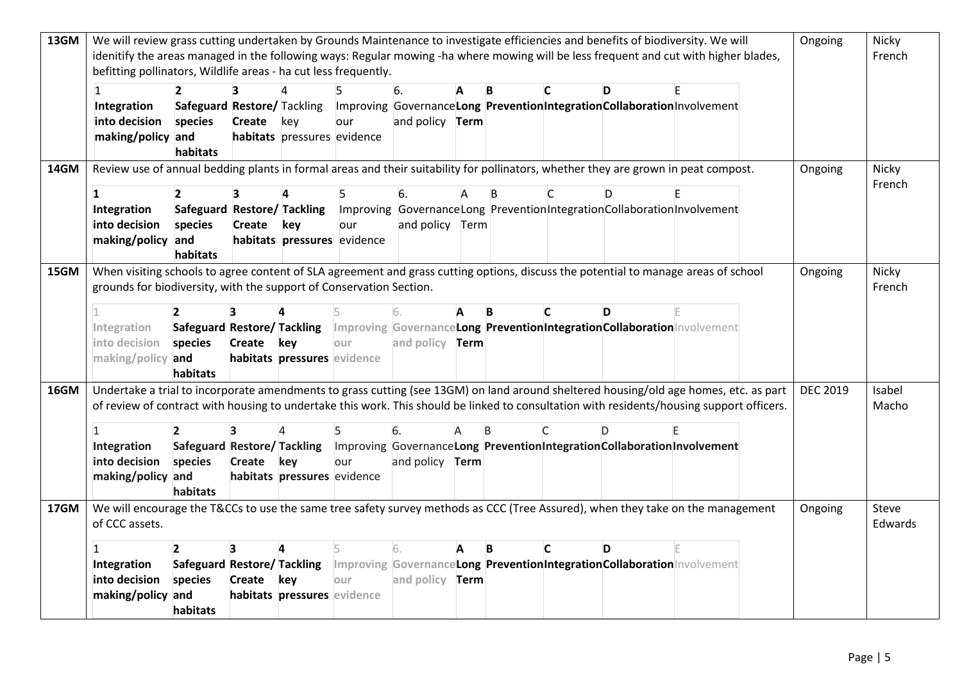| 13GM | We will review grass cutting undertaken by Grounds Maintenance to investigate efficiencies and benefits of biodiversity. We will          |                             |                   |                             |      |                        |   |   |    |                                                                                                       | Ongoing         | Nicky           |
|------|-------------------------------------------------------------------------------------------------------------------------------------------|-----------------------------|-------------------|-----------------------------|------|------------------------|---|---|----|-------------------------------------------------------------------------------------------------------|-----------------|-----------------|
|      | idenitify the areas managed in the following ways: Regular mowing -ha where mowing will be less frequent and cut with higher blades,      |                             |                   |                             |      |                        |   |   |    |                                                                                                       |                 | French          |
|      | befitting pollinators, Wildlife areas - ha cut less frequently.                                                                           |                             |                   |                             |      |                        |   |   |    |                                                                                                       |                 |                 |
|      |                                                                                                                                           |                             |                   |                             |      | 6.                     | в |   |    |                                                                                                       |                 |                 |
|      | Integration                                                                                                                               | Safeguard Restore/ Tackling |                   |                             |      |                        |   |   |    | Improving GovernanceLong PreventionIntegrationCollaborationInvolvement                                |                 |                 |
|      | into decision                                                                                                                             | species                     | <b>Create</b> key |                             | our  | and policy <b>Term</b> |   |   |    |                                                                                                       |                 |                 |
|      | making/policy and                                                                                                                         |                             |                   | habitats pressures evidence |      |                        |   |   |    |                                                                                                       |                 |                 |
|      |                                                                                                                                           | habitats                    |                   |                             |      |                        |   |   |    |                                                                                                       |                 |                 |
| 14GM | Review use of annual bedding plants in formal areas and their suitability for pollinators, whether they are grown in peat compost.        |                             |                   |                             |      |                        |   |   |    |                                                                                                       | Ongoing         | Nicky           |
|      | 1                                                                                                                                         | $\overline{\phantom{a}}$    |                   |                             |      | 6.                     |   |   |    |                                                                                                       |                 | French          |
|      | Integration                                                                                                                               | Safeguard Restore/ Tackling |                   |                             |      |                        |   |   |    | Improving Governance Long Prevention Integration Collaboration Involvement                            |                 |                 |
|      | into decision                                                                                                                             | species                     | Create            | key                         | our  | and policy Term        |   |   |    |                                                                                                       |                 |                 |
|      | making/policy and                                                                                                                         |                             |                   | habitats pressures evidence |      |                        |   |   |    |                                                                                                       |                 |                 |
|      |                                                                                                                                           | habitats                    |                   |                             |      |                        |   |   |    |                                                                                                       |                 |                 |
| 15GM | When visiting schools to agree content of SLA agreement and grass cutting options, discuss the potential to manage areas of school        |                             |                   |                             |      |                        |   |   |    |                                                                                                       | Ongoing         | Nicky           |
|      | grounds for biodiversity, with the support of Conservation Section.                                                                       |                             |                   |                             |      |                        |   |   |    |                                                                                                       |                 | French          |
|      |                                                                                                                                           |                             |                   |                             |      |                        |   |   |    |                                                                                                       |                 |                 |
|      |                                                                                                                                           |                             |                   |                             |      |                        | B | C | D. |                                                                                                       |                 |                 |
|      | Integration                                                                                                                               | Safeguard Restore/ Tackling |                   |                             |      |                        |   |   |    | Improving GovernanceLong PreventionIntegrationCollaborationInvolvement                                |                 |                 |
|      | into decision                                                                                                                             | species                     | Create key        |                             | our  | and policy <b>Term</b> |   |   |    |                                                                                                       |                 |                 |
|      | making/policy and                                                                                                                         |                             |                   | habitats pressures evidence |      |                        |   |   |    |                                                                                                       |                 |                 |
|      |                                                                                                                                           | habitats                    |                   |                             |      |                        |   |   |    |                                                                                                       |                 |                 |
| 16GM | Undertake a trial to incorporate amendments to grass cutting (see 13GM) on land around sheltered housing/old age homes, etc. as part      |                             |                   |                             |      |                        |   |   |    |                                                                                                       | <b>DEC 2019</b> | Isabel<br>Macho |
|      | of review of contract with housing to undertake this work. This should be linked to consultation with residents/housing support officers. |                             |                   |                             |      |                        |   |   |    |                                                                                                       |                 |                 |
|      |                                                                                                                                           | $\overline{2}$              | 3                 |                             |      |                        |   |   |    |                                                                                                       |                 |                 |
|      |                                                                                                                                           |                             |                   |                             |      | 6.                     |   |   |    |                                                                                                       |                 |                 |
|      | Integration                                                                                                                               |                             |                   |                             |      |                        |   |   |    | Safeguard Restore/Tackling Improving Governance Long Prevention Integration Collaboration Involvement |                 |                 |
|      | into decision                                                                                                                             | species                     | Create key        |                             | our  | and policy <b>Term</b> |   |   |    |                                                                                                       |                 |                 |
|      | making/policy and                                                                                                                         |                             |                   | habitats pressures evidence |      |                        |   |   |    |                                                                                                       |                 |                 |
|      |                                                                                                                                           | habitats                    |                   |                             |      |                        |   |   |    |                                                                                                       |                 |                 |
|      | We will encourage the T&CCs to use the same tree safety survey methods as CCC (Tree Assured), when they take on the management            |                             |                   |                             |      |                        |   |   |    |                                                                                                       | Ongoing         | Steve           |
| 17GM | of CCC assets.                                                                                                                            |                             |                   |                             |      |                        |   |   |    |                                                                                                       |                 | Edwards         |
|      |                                                                                                                                           | $\overline{2}$              | 3                 |                             |      | 6.                     | B | C | D  |                                                                                                       |                 |                 |
|      | Integration                                                                                                                               |                             |                   |                             |      |                        |   |   |    | Safeguard Restore/ Tackling Improving GovernanceLong PreventionIntegrationCollaborationInvolvement    |                 |                 |
|      | into decision                                                                                                                             | species                     | Create key        |                             | lour | and policy <b>Term</b> |   |   |    |                                                                                                       |                 |                 |
|      | making/policy and                                                                                                                         |                             |                   | habitats pressures evidence |      |                        |   |   |    |                                                                                                       |                 |                 |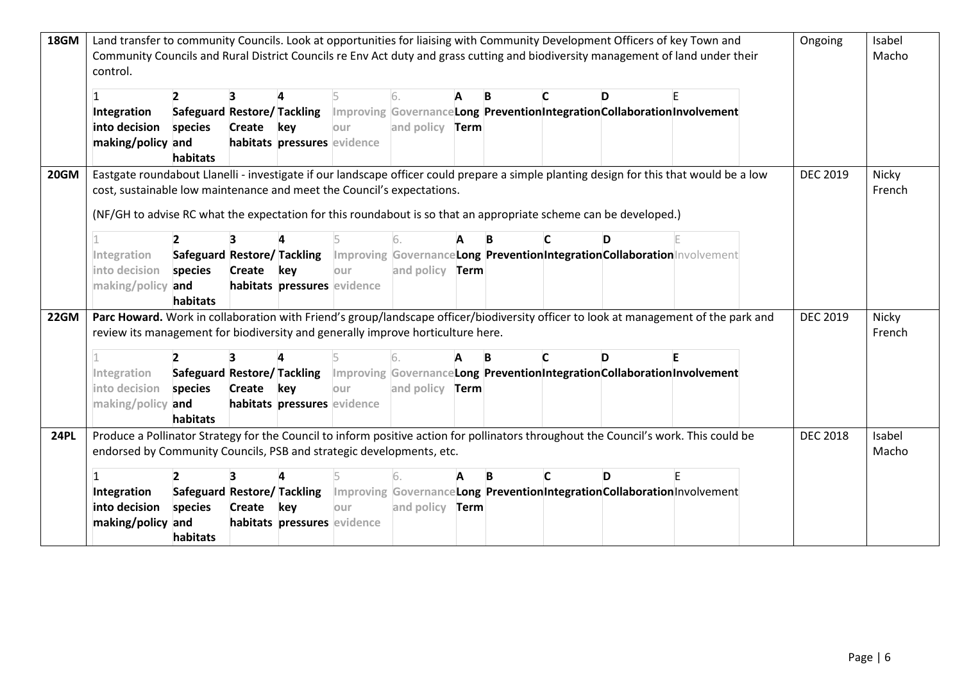| 18GM        | Land transfer to community Councils. Look at opportunities for liaising with Community Development Officers of key Town and                  |                                    |               |                             |      |                        |      |   |              |                                                                                                       |  | Ongoing         | Isabel<br>Macho |
|-------------|----------------------------------------------------------------------------------------------------------------------------------------------|------------------------------------|---------------|-----------------------------|------|------------------------|------|---|--------------|-------------------------------------------------------------------------------------------------------|--|-----------------|-----------------|
|             | Community Councils and Rural District Councils re Env Act duty and grass cutting and biodiversity management of land under their<br>control. |                                    |               |                             |      |                        |      |   |              |                                                                                                       |  |                 |                 |
|             |                                                                                                                                              | $\overline{2}$                     |               |                             |      | 6.                     |      | B |              |                                                                                                       |  |                 |                 |
|             | Integration                                                                                                                                  | Safeguard Restore/Tackling         |               |                             |      |                        |      |   |              | Improving Governance Long Prevention Integration Collaboration Involvement                            |  |                 |                 |
|             | into decision                                                                                                                                | species                            | Create key    |                             | lour | and policy <b>Term</b> |      |   |              |                                                                                                       |  |                 |                 |
|             | making/policy and                                                                                                                            | habitats                           |               | habitats pressures evidence |      |                        |      |   |              |                                                                                                       |  |                 |                 |
| <b>20GM</b> | Eastgate roundabout Llanelli - investigate if our landscape officer could prepare a simple planting design for this that would be a low      |                                    |               |                             |      |                        |      |   |              |                                                                                                       |  | <b>DEC 2019</b> | Nicky           |
|             | cost, sustainable low maintenance and meet the Council's expectations.                                                                       |                                    |               |                             |      |                        |      |   |              |                                                                                                       |  |                 | French          |
|             |                                                                                                                                              |                                    |               |                             |      |                        |      |   |              |                                                                                                       |  |                 |                 |
|             | (NF/GH to advise RC what the expectation for this roundabout is so that an appropriate scheme can be developed.)                             |                                    |               |                             |      |                        |      |   |              |                                                                                                       |  |                 |                 |
|             |                                                                                                                                              | $\overline{2}$                     |               |                             |      |                        |      |   |              |                                                                                                       |  |                 |                 |
|             | Integration                                                                                                                                  |                                    |               |                             |      |                        |      |   |              | Safeguard Restore/ Tackling   Improving GovernanceLong PreventionIntegrationCollaboration Involvement |  |                 |                 |
|             | into decision                                                                                                                                | species                            | Create key    |                             | lour | and policy <b>Term</b> |      |   |              |                                                                                                       |  |                 |                 |
|             | making/policy and                                                                                                                            |                                    |               | habitats pressures evidence |      |                        |      |   |              |                                                                                                       |  |                 |                 |
|             |                                                                                                                                              | habitats                           |               |                             |      |                        |      |   |              |                                                                                                       |  |                 |                 |
| 22GM        | Parc Howard. Work in collaboration with Friend's group/landscape officer/biodiversity officer to look at management of the park and          |                                    |               |                             |      |                        |      |   |              |                                                                                                       |  | <b>DEC 2019</b> | Nicky           |
|             | review its management for biodiversity and generally improve horticulture here.                                                              |                                    |               |                             |      |                        |      |   |              |                                                                                                       |  |                 | French          |
|             |                                                                                                                                              |                                    |               |                             |      |                        |      |   |              |                                                                                                       |  |                 |                 |
|             |                                                                                                                                              |                                    |               |                             |      |                        |      | B |              | D                                                                                                     |  |                 |                 |
|             | Integration                                                                                                                                  |                                    |               |                             |      |                        |      |   |              | Safeguard Restore/Tackling Improving GovernanceLong PreventionIntegrationCollaborationInvolvement     |  |                 |                 |
|             | into decision                                                                                                                                | species                            | Create key    |                             | lour | and policy <b>Term</b> |      |   |              |                                                                                                       |  |                 |                 |
|             | making/policy and                                                                                                                            |                                    |               | habitats pressures evidence |      |                        |      |   |              |                                                                                                       |  |                 |                 |
|             |                                                                                                                                              | habitats                           |               |                             |      |                        |      |   |              |                                                                                                       |  |                 |                 |
| <b>24PL</b> | Produce a Pollinator Strategy for the Council to inform positive action for pollinators throughout the Council's work. This could be         |                                    |               |                             |      |                        |      |   |              |                                                                                                       |  | <b>DEC 2018</b> | Isabel          |
|             | endorsed by Community Councils, PSB and strategic developments, etc.                                                                         |                                    |               |                             |      |                        |      |   |              |                                                                                                       |  |                 | Macho           |
|             |                                                                                                                                              | $\overline{2}$                     |               |                             |      | 6.                     |      | B | $\mathsf{C}$ | D.                                                                                                    |  |                 |                 |
|             | Integration                                                                                                                                  | <b>Safeguard Restore/ Tackling</b> |               |                             |      |                        |      |   |              | Improving GovernanceLong PreventionIntegrationCollaborationInvolvement                                |  |                 |                 |
|             | into decision                                                                                                                                | species                            | <b>Create</b> | key                         | our  | and policy             | Term |   |              |                                                                                                       |  |                 |                 |
|             | making/policy and                                                                                                                            |                                    |               | habitats pressures evidence |      |                        |      |   |              |                                                                                                       |  |                 |                 |
|             |                                                                                                                                              | habitats                           |               |                             |      |                        |      |   |              |                                                                                                       |  |                 |                 |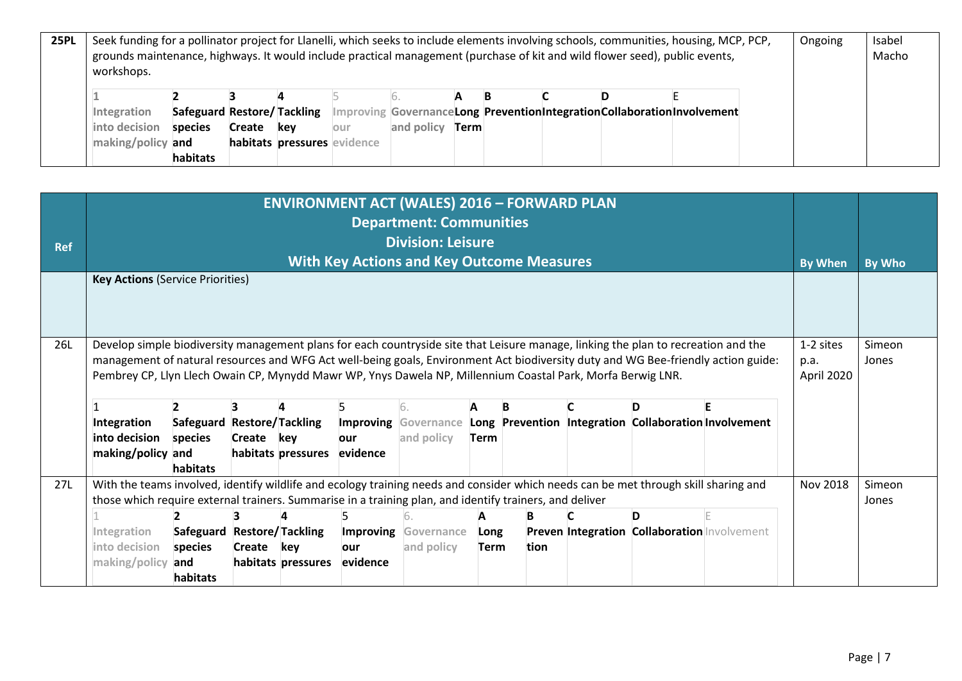| <b>25PL</b> | Seek funding for a pollinator project for Llanelli, which seeks to include elements involving schools, communities, housing, MCP, PCP,<br>grounds maintenance, highways. It would include practical management (purchase of kit and wild flower seed), public events, |  |  |  |  |  |  |  |  |  |  |  |  | Isabel |
|-------------|-----------------------------------------------------------------------------------------------------------------------------------------------------------------------------------------------------------------------------------------------------------------------|--|--|--|--|--|--|--|--|--|--|--|--|--------|
|             | workshops.                                                                                                                                                                                                                                                            |  |  |  |  |  |  |  |  |  |  |  |  | Macho  |
|             |                                                                                                                                                                                                                                                                       |  |  |  |  |  |  |  |  |  |  |  |  |        |
|             | Safeguard Restore/Tackling Improving GovernanceLong PreventionIntegrationCollaborationInvolvement<br>Integration                                                                                                                                                      |  |  |  |  |  |  |  |  |  |  |  |  |        |
|             | and policy<br>into decision<br>species<br>Create<br><b>Term</b><br>kev<br>lour                                                                                                                                                                                        |  |  |  |  |  |  |  |  |  |  |  |  |        |
|             | habitats pressures evidence<br>making/policy and                                                                                                                                                                                                                      |  |  |  |  |  |  |  |  |  |  |  |  |        |
|             | habitats                                                                                                                                                                                                                                                              |  |  |  |  |  |  |  |  |  |  |  |  |        |

| <b>Ref</b> |                                                                                                                                                                                                                                                                                                                                                                                        |                                                   |            |                    |                      | <b>ENVIRONMENT ACT (WALES) 2016 - FORWARD PLAN</b><br><b>Department: Communities</b><br><b>Division: Leisure</b><br><b>With Key Actions and Key Outcome Measures</b> |                  |      |  |                                                            |  | <b>By When</b> | By Who          |
|------------|----------------------------------------------------------------------------------------------------------------------------------------------------------------------------------------------------------------------------------------------------------------------------------------------------------------------------------------------------------------------------------------|---------------------------------------------------|------------|--------------------|----------------------|----------------------------------------------------------------------------------------------------------------------------------------------------------------------|------------------|------|--|------------------------------------------------------------|--|----------------|-----------------|
|            | <b>Key Actions (Service Priorities)</b>                                                                                                                                                                                                                                                                                                                                                |                                                   |            |                    |                      |                                                                                                                                                                      |                  |      |  |                                                            |  |                |                 |
| 26L        | Develop simple biodiversity management plans for each countryside site that Leisure manage, linking the plan to recreation and the<br>management of natural resources and WFG Act well-being goals, Environment Act biodiversity duty and WG Bee-friendly action guide:<br>Pembrey CP, Llyn Llech Owain CP, Mynydd Mawr WP, Ynys Dawela NP, Millennium Coastal Park, Morfa Berwig LNR. |                                                   |            |                    |                      |                                                                                                                                                                      |                  |      |  |                                                            |  |                | Simeon<br>Jones |
|            | Integration<br>into decision<br>making/policy and                                                                                                                                                                                                                                                                                                                                      | Safeguard Restore/Tackling<br>species<br>habitats | Create key | habitats pressures | 5<br>our<br>evidence | IG.<br><b>Improving Governance</b><br>and policy                                                                                                                     | A<br><b>Term</b> |      |  | D<br>Long Prevention Integration Collaboration Involvement |  |                |                 |
| 27L        | With the teams involved, identify wildlife and ecology training needs and consider which needs can be met through skill sharing and<br>those which require external trainers. Summarise in a training plan, and identify trainers, and deliver                                                                                                                                         |                                                   |            |                    |                      |                                                                                                                                                                      |                  |      |  |                                                            |  | Nov 2018       | Simeon<br>Jones |
|            |                                                                                                                                                                                                                                                                                                                                                                                        |                                                   |            |                    |                      |                                                                                                                                                                      |                  |      |  | D                                                          |  |                |                 |
|            | Integration                                                                                                                                                                                                                                                                                                                                                                            | Safeguard Restore/Tackling                        |            |                    |                      | <b>Improving Governance</b>                                                                                                                                          | Long             |      |  | Preven Integration Collaboration Involvement               |  |                |                 |
|            | into decision                                                                                                                                                                                                                                                                                                                                                                          | species                                           | Create     | kev                | our                  | and policy                                                                                                                                                           | <b>Term</b>      | tion |  |                                                            |  |                |                 |
|            | making/policy                                                                                                                                                                                                                                                                                                                                                                          | and                                               |            | habitats pressures | evidence             |                                                                                                                                                                      |                  |      |  |                                                            |  |                |                 |
|            |                                                                                                                                                                                                                                                                                                                                                                                        | habitats                                          |            |                    |                      |                                                                                                                                                                      |                  |      |  |                                                            |  |                |                 |